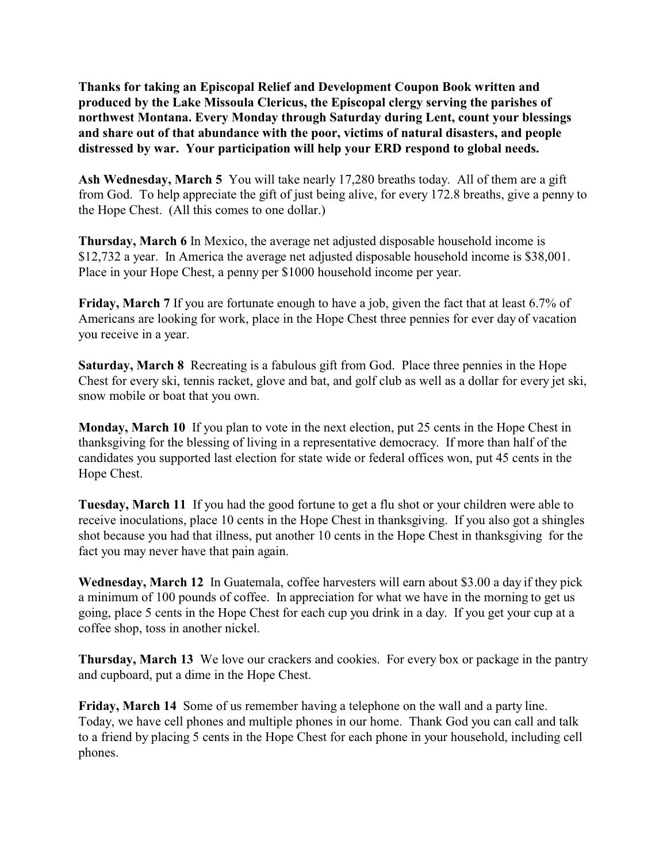**Thanks for taking an Episcopal Relief and Development Coupon Book written and produced by the Lake Missoula Clericus, the Episcopal clergy serving the parishes of northwest Montana. Every Monday through Saturday during Lent, count your blessings and share out of that abundance with the poor, victims of natural disasters, and people distressed by war. Your participation will help your ERD respond to global needs.** 

**Ash Wednesday, March 5** You will take nearly 17,280 breaths today. All of them are a gift from God. To help appreciate the gift of just being alive, for every 172.8 breaths, give a penny to the Hope Chest. (All this comes to one dollar.)

**Thursday, March 6** In Mexico, the average net adjusted disposable household income is \$12,732 a year. In America the average net adjusted disposable household income is \$38,001. Place in your Hope Chest, a penny per \$1000 household income per year.

**Friday, March 7** If you are fortunate enough to have a job, given the fact that at least 6.7% of Americans are looking for work, place in the Hope Chest three pennies for ever day of vacation you receive in a year.

**Saturday, March 8** Recreating is a fabulous gift from God. Place three pennies in the Hope Chest for every ski, tennis racket, glove and bat, and golf club as well as a dollar for every jet ski, snow mobile or boat that you own.

**Monday, March 10** If you plan to vote in the next election, put 25 cents in the Hope Chest in thanksgiving for the blessing of living in a representative democracy. If more than half of the candidates you supported last election for state wide or federal offices won, put 45 cents in the Hope Chest.

**Tuesday, March 11** If you had the good fortune to get a flu shot or your children were able to receive inoculations, place 10 cents in the Hope Chest in thanksgiving. If you also got a shingles shot because you had that illness, put another 10 cents in the Hope Chest in thanksgiving for the fact you may never have that pain again.

**Wednesday, March 12** In Guatemala, coffee harvesters will earn about \$3.00 a day if they pick a minimum of 100 pounds of coffee. In appreciation for what we have in the morning to get us going, place 5 cents in the Hope Chest for each cup you drink in a day. If you get your cup at a coffee shop, toss in another nickel.

**Thursday, March 13** We love our crackers and cookies. For every box or package in the pantry and cupboard, put a dime in the Hope Chest.

**Friday, March 14** Some of us remember having a telephone on the wall and a party line. Today, we have cell phones and multiple phones in our home. Thank God you can call and talk to a friend by placing 5 cents in the Hope Chest for each phone in your household, including cell phones.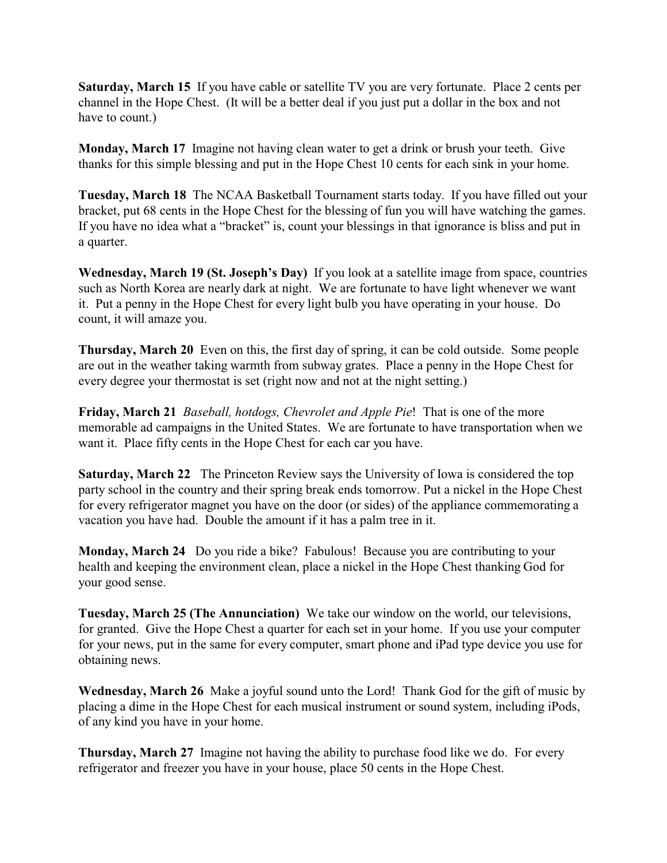**Saturday, March 15** If you have cable or satellite TV you are very fortunate. Place 2 cents per channel in the Hope Chest. (It will be a better deal if you just put a dollar in the box and not have to count.)

**Monday, March 17** Imagine not having clean water to get a drink or brush your teeth. Give thanks for this simple blessing and put in the Hope Chest 10 cents for each sink in your home.

**Tuesday, March 18** The NCAA Basketball Tournament starts today. If you have filled out your bracket, put 68 cents in the Hope Chest for the blessing of fun you will have watching the games. If you have no idea what a "bracket" is, count your blessings in that ignorance is bliss and put in a quarter.

**Wednesday, March 19 (St. Joseph's Day)** If you look at a satellite image from space, countries such as North Korea are nearly dark at night. We are fortunate to have light whenever we want it. Put a penny in the Hope Chest for every light bulb you have operating in your house. Do count, it will amaze you.

**Thursday, March 20** Even on this, the first day of spring, it can be cold outside. Some people are out in the weather taking warmth from subway grates. Place a penny in the Hope Chest for every degree your thermostat is set (right now and not at the night setting.)

**Friday, March 21** *Baseball, hotdogs, Chevrolet and Apple Pie*! That is one of the more memorable ad campaigns in the United States. We are fortunate to have transportation when we want it. Place fifty cents in the Hope Chest for each car you have.

**Saturday, March 22** The Princeton Review says the University of Iowa is considered the top party school in the country and their spring break ends tomorrow. Put a nickel in the Hope Chest for every refrigerator magnet you have on the door (or sides) of the appliance commemorating a vacation you have had. Double the amount if it has a palm tree in it.

**Monday, March 24** Do you ride a bike? Fabulous! Because you are contributing to your health and keeping the environment clean, place a nickel in the Hope Chest thanking God for your good sense.

**Tuesday, March 25 (The Annunciation)** We take our window on the world, our televisions, for granted. Give the Hope Chest a quarter for each set in your home. If you use your computer for your news, put in the same for every computer, smart phone and iPad type device you use for obtaining news.

**Wednesday, March 26** Make a joyful sound unto the Lord! Thank God for the gift of music by placing a dime in the Hope Chest for each musical instrument or sound system, including iPods, of any kind you have in your home.

**Thursday, March 27** Imagine not having the ability to purchase food like we do. For every refrigerator and freezer you have in your house, place 50 cents in the Hope Chest.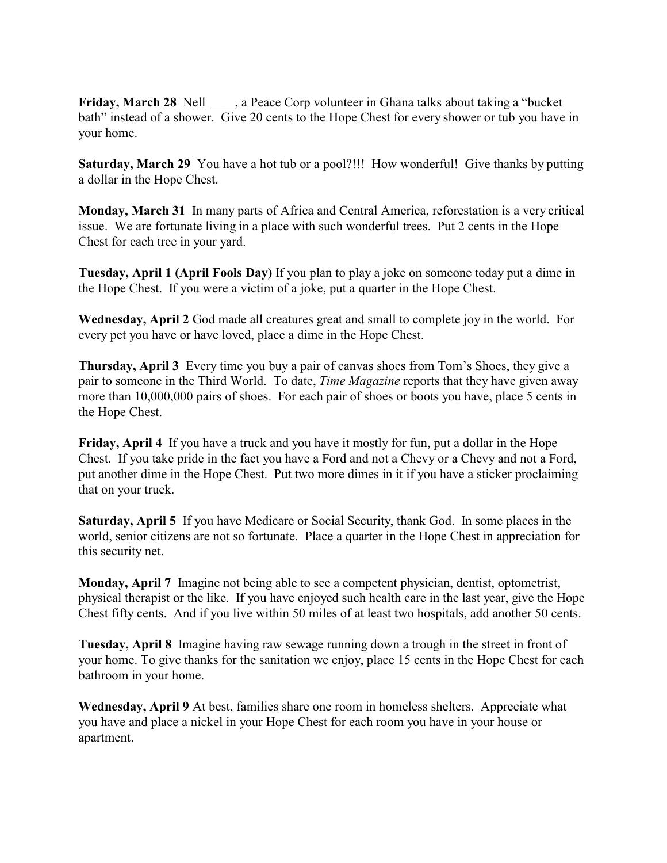**Friday, March 28** Nell , a Peace Corp volunteer in Ghana talks about taking a "bucket" bath" instead of a shower. Give 20 cents to the Hope Chest for every shower or tub you have in your home.

**Saturday, March 29** You have a hot tub or a pool?!!! How wonderful! Give thanks by putting a dollar in the Hope Chest.

**Monday, March 31** In many parts of Africa and Central America, reforestation is a very critical issue. We are fortunate living in a place with such wonderful trees. Put 2 cents in the Hope Chest for each tree in your yard.

**Tuesday, April 1 (April Fools Day)** If you plan to play a joke on someone today put a dime in the Hope Chest. If you were a victim of a joke, put a quarter in the Hope Chest.

**Wednesday, April 2** God made all creatures great and small to complete joy in the world. For every pet you have or have loved, place a dime in the Hope Chest.

**Thursday, April 3** Every time you buy a pair of canvas shoes from Tom's Shoes, they give a pair to someone in the Third World. To date, *Time Magazine* reports that they have given away more than 10,000,000 pairs of shoes. For each pair of shoes or boots you have, place 5 cents in the Hope Chest.

**Friday, April 4** If you have a truck and you have it mostly for fun, put a dollar in the Hope Chest. If you take pride in the fact you have a Ford and not a Chevy or a Chevy and not a Ford, put another dime in the Hope Chest. Put two more dimes in it if you have a sticker proclaiming that on your truck.

**Saturday, April 5** If you have Medicare or Social Security, thank God. In some places in the world, senior citizens are not so fortunate. Place a quarter in the Hope Chest in appreciation for this security net.

**Monday, April 7** Imagine not being able to see a competent physician, dentist, optometrist, physical therapist or the like. If you have enjoyed such health care in the last year, give the Hope Chest fifty cents. And if you live within 50 miles of at least two hospitals, add another 50 cents.

**Tuesday, April 8** Imagine having raw sewage running down a trough in the street in front of your home. To give thanks for the sanitation we enjoy, place 15 cents in the Hope Chest for each bathroom in your home.

**Wednesday, April 9** At best, families share one room in homeless shelters. Appreciate what you have and place a nickel in your Hope Chest for each room you have in your house or apartment.